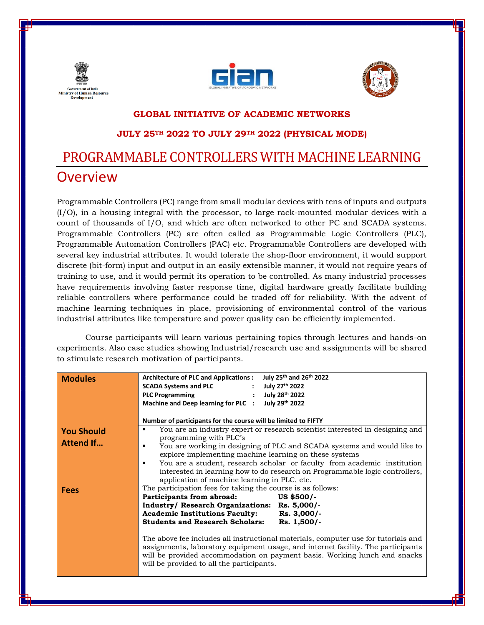





#### **GLOBAL INITIATIVE OF ACADEMIC NETWORKS**

### **JULY 25TH 2022 TO JULY 29TH 2022 (PHYSICAL MODE)**

# PROGRAMMABLE CONTROLLERS WITH MACHINE LEARNING **Overview**

Programmable Controllers (PC) range from small modular devices with tens of inputs and outputs (I/O), in a housing integral with the processor, to large rack-mounted modular devices with a count of thousands of I/O, and which are often networked to other PC and SCADA systems. Programmable Controllers (PC) are often called as Programmable Logic Controllers (PLC), Programmable Automation Controllers (PAC) etc. Programmable Controllers are developed with several key industrial attributes. It would tolerate the shop-floor environment, it would support discrete (bit-form) input and output in an easily extensible manner, it would not require years of training to use, and it would permit its operation to be controlled. As many industrial processes have requirements involving faster response time, digital hardware greatly facilitate building reliable controllers where performance could be traded off for reliability. With the advent of machine learning techniques in place, provisioning of environmental control of the various industrial attributes like temperature and power quality can be efficiently implemented.

Course participants will learn various pertaining topics through lectures and hands-on experiments. Also case studies showing Industrial/research use and assignments will be shared to stimulate research motivation of participants.

| <b>Modules</b>                        | July 25th and 26th 2022<br><b>Architecture of PLC and Applications:</b><br>July 27th 2022<br><b>SCADA Systems and PLC</b>                                                                                                                                                                                                                               |
|---------------------------------------|---------------------------------------------------------------------------------------------------------------------------------------------------------------------------------------------------------------------------------------------------------------------------------------------------------------------------------------------------------|
|                                       | July 28th 2022<br><b>PLC Programming</b><br>July 29th 2022<br>Machine and Deep learning for PLC :                                                                                                                                                                                                                                                       |
|                                       | Number of participants for the course will be limited to FIFTY                                                                                                                                                                                                                                                                                          |
| <b>You Should</b><br><b>Attend If</b> | You are an industry expert or research scientist interested in designing and<br>٠<br>programming with PLC's                                                                                                                                                                                                                                             |
|                                       | You are working in designing of PLC and SCADA systems and would like to<br>٠<br>explore implementing machine learning on these systems<br>You are a student, research scholar or faculty from academic institution<br>٠<br>interested in learning how to do research on Programmable logic controllers,<br>application of machine learning in PLC, etc. |
| <b>Fees</b>                           | The participation fees for taking the course is as follows:<br>US \$500/-<br>Participants from abroad:<br>Industry/ Research Organizations: Rs. 5,000/-<br><b>Academic Institutions Faculty:</b><br>$Rs. 3,000/-$<br><b>Students and Research Scholars:</b><br>Rs. 1,500/-                                                                              |
|                                       | The above fee includes all instructional materials, computer use for tutorials and<br>assignments, laboratory equipment usage, and internet facility. The participants<br>will be provided accommodation on payment basis. Working lunch and snacks<br>will be provided to all the participants.                                                        |